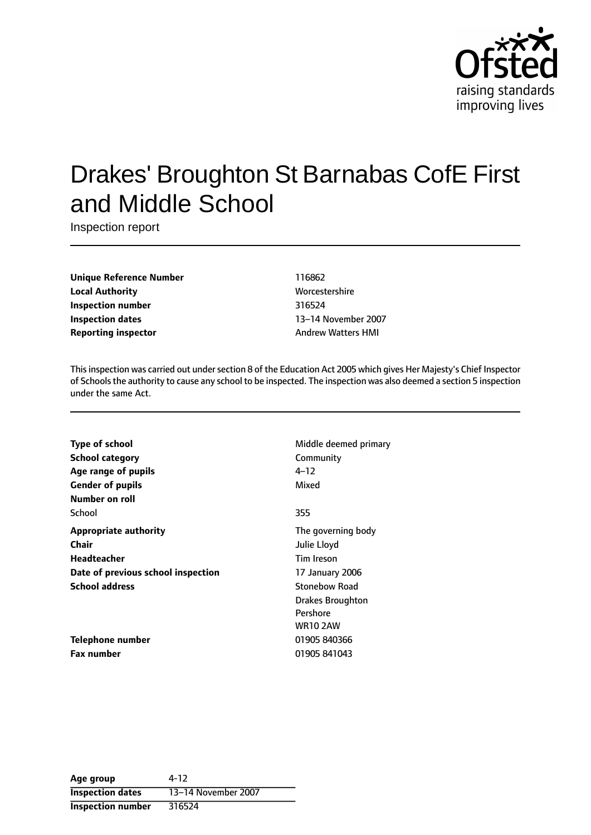

# Drakes' Broughton St Barnabas CofE First and Middle School

Inspection report

**Unique Reference Number** 116862 **Local Authority More** Worcestershire **Inspection number** 316524 **Inspection dates** 13-14 November 2007 **Reporting inspector** Andrew Watters HMI

Thisinspection was carried out undersection 8 of the Education Act 2005 which gives Her Majesty's Chief Inspector of Schoolsthe authority to cause any school to be inspected. The inspection was also deemed a section 5 inspection under the same Act.

| <b>Type of school</b>              | Middl        |
|------------------------------------|--------------|
| School category                    | Comm         |
| Age range of pupils                | 4–12         |
| <b>Gender of pupils</b>            | Mixed        |
| Number on roll                     |              |
| School                             | 355          |
| Appropriate authority              | The $q_0$    |
| Chair                              | Julie L      |
| Headteacher                        | Tim Ir       |
| Date of previous school inspection | 17 Jar       |
| School address                     | Stonel       |
|                                    | <b>Drake</b> |
|                                    |              |

**Telephone number** 01905 840366 **Fax number** 01905 841043

**Middle deemed primary Community** 

The governing body **Chair** Julie Lloyd **Tim Ireson Date of previous school inspection** 17 January 2006 **Stonebow Road** Drakes Broughton Pershore WR10 2AW

| Age group                | 4-12                |
|--------------------------|---------------------|
| <b>Inspection dates</b>  | 13-14 November 2007 |
| <b>Inspection number</b> | 316524              |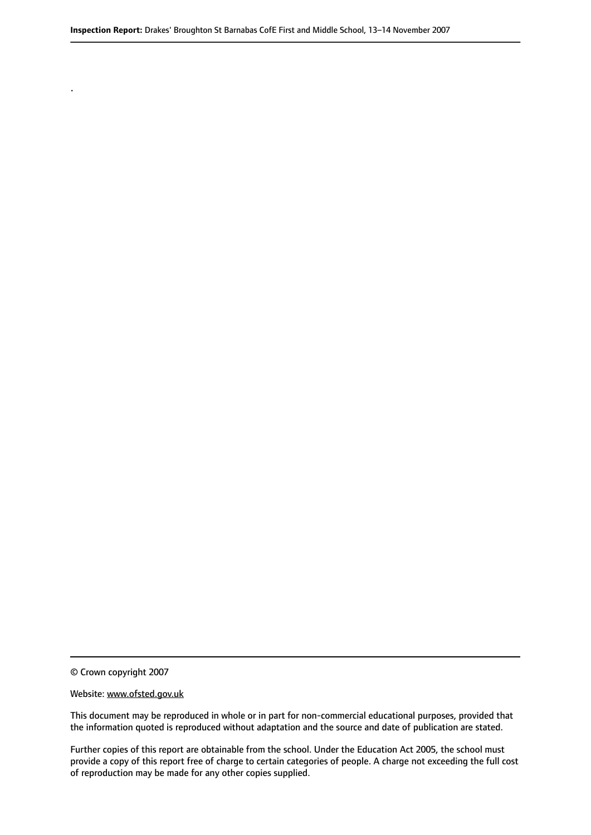© Crown copyright 2007

.

#### Website: www.ofsted.gov.uk

This document may be reproduced in whole or in part for non-commercial educational purposes, provided that the information quoted is reproduced without adaptation and the source and date of publication are stated.

Further copies of this report are obtainable from the school. Under the Education Act 2005, the school must provide a copy of this report free of charge to certain categories of people. A charge not exceeding the full cost of reproduction may be made for any other copies supplied.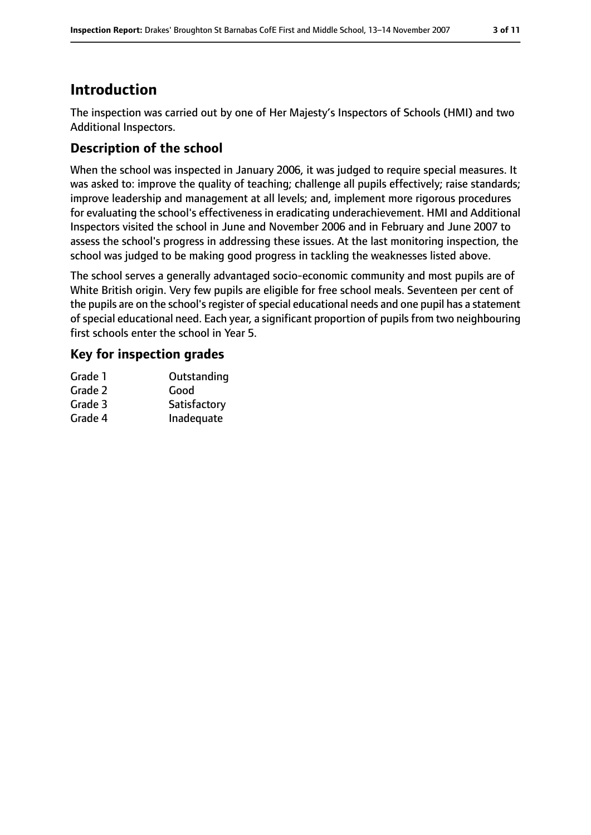# **Introduction**

The inspection was carried out by one of Her Majesty's Inspectors of Schools (HMI) and two Additional Inspectors.

## **Description of the school**

When the school was inspected in January 2006, it was judged to require special measures. It was asked to: improve the quality of teaching; challenge all pupils effectively; raise standards; improve leadership and management at all levels; and, implement more rigorous procedures for evaluating the school's effectiveness in eradicating underachievement. HMI and Additional Inspectors visited the school in June and November 2006 and in February and June 2007 to assess the school's progress in addressing these issues. At the last monitoring inspection, the school was judged to be making good progress in tackling the weaknesses listed above.

The school serves a generally advantaged socio-economic community and most pupils are of White British origin. Very few pupils are eligible for free school meals. Seventeen per cent of the pupils are on the school's register of special educational needs and one pupil has a statement of special educational need. Each year, a significant proportion of pupils from two neighbouring first schools enter the school in Year 5.

## **Key for inspection grades**

| Grade 1 | Outstanding  |
|---------|--------------|
| Grade 2 | Good         |
| Grade 3 | Satisfactory |
| Grade 4 | Inadequate   |
|         |              |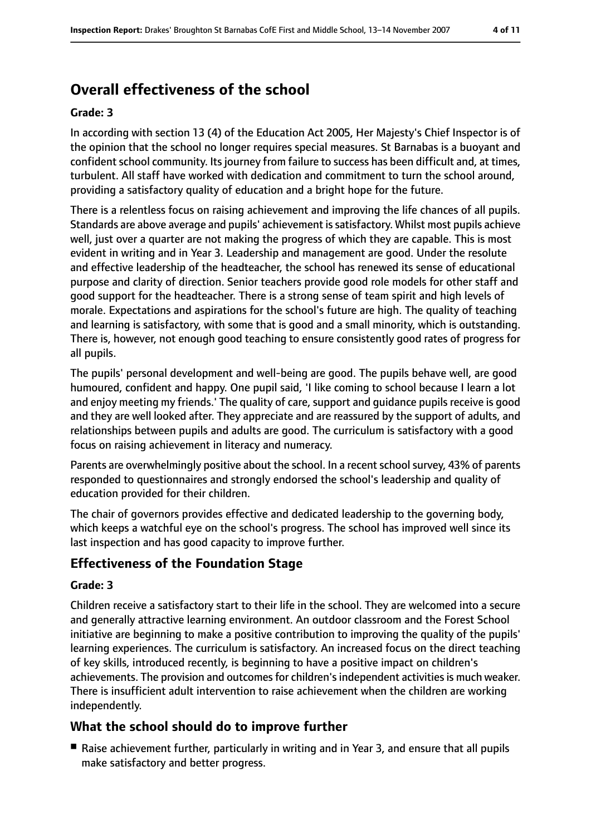# **Overall effectiveness of the school**

#### **Grade: 3**

In according with section 13 (4) of the Education Act 2005, Her Majesty's Chief Inspector is of the opinion that the school no longer requires special measures. St Barnabas is a buoyant and confident school community. Its journey from failure to success has been difficult and, at times, turbulent. All staff have worked with dedication and commitment to turn the school around, providing a satisfactory quality of education and a bright hope for the future.

There is a relentless focus on raising achievement and improving the life chances of all pupils. Standards are above average and pupils' achievement issatisfactory. Whilst most pupils achieve well, just over a quarter are not making the progress of which they are capable. This is most evident in writing and in Year 3. Leadership and management are good. Under the resolute and effective leadership of the headteacher, the school has renewed its sense of educational purpose and clarity of direction. Senior teachers provide good role models for other staff and good support for the headteacher. There is a strong sense of team spirit and high levels of morale. Expectations and aspirations for the school's future are high. The quality of teaching and learning is satisfactory, with some that is good and a small minority, which is outstanding. There is, however, not enough good teaching to ensure consistently good rates of progress for all pupils.

The pupils' personal development and well-being are good. The pupils behave well, are good humoured, confident and happy. One pupil said, 'I like coming to school because I learn a lot and enjoy meeting my friends.' The quality of care, support and guidance pupils receive is good and they are well looked after. They appreciate and are reassured by the support of adults, and relationships between pupils and adults are good. The curriculum is satisfactory with a good focus on raising achievement in literacy and numeracy.

Parents are overwhelmingly positive about the school. In a recent school survey, 43% of parents responded to questionnaires and strongly endorsed the school's leadership and quality of education provided for their children.

The chair of governors provides effective and dedicated leadership to the governing body, which keeps a watchful eye on the school's progress. The school has improved well since its last inspection and has good capacity to improve further.

## **Effectiveness of the Foundation Stage**

#### **Grade: 3**

Children receive a satisfactory start to their life in the school. They are welcomed into a secure and generally attractive learning environment. An outdoor classroom and the Forest School initiative are beginning to make a positive contribution to improving the quality of the pupils' learning experiences. The curriculum is satisfactory. An increased focus on the direct teaching of key skills, introduced recently, is beginning to have a positive impact on children's achievements. The provision and outcomes for children's independent activities is much weaker. There is insufficient adult intervention to raise achievement when the children are working independently.

## **What the school should do to improve further**

■ Raise achievement further, particularly in writing and in Year 3, and ensure that all pupils make satisfactory and better progress.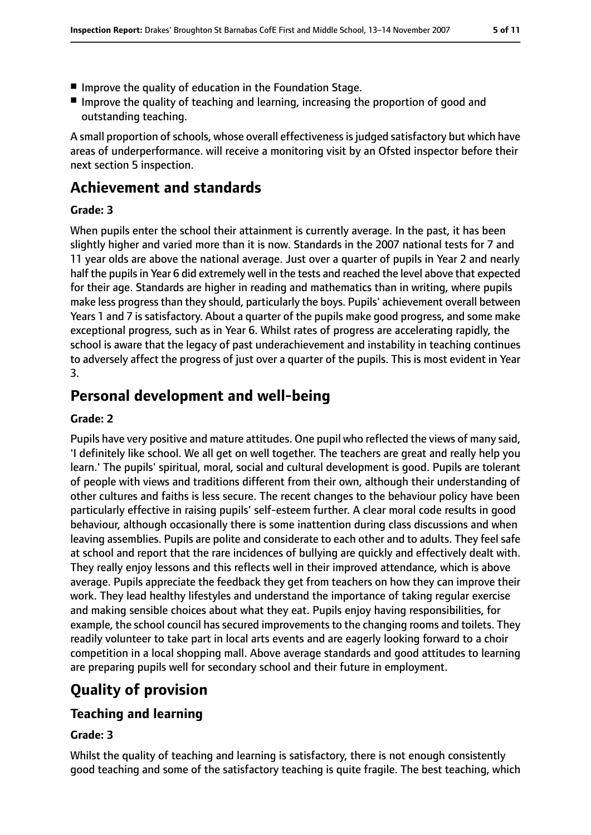- Improve the quality of education in the Foundation Stage.
- Improve the quality of teaching and learning, increasing the proportion of good and outstanding teaching.

A small proportion of schools, whose overall effectiveness is judged satisfactory but which have areas of underperformance. will receive a monitoring visit by an Ofsted inspector before their next section 5 inspection.

## **Achievement and standards**

#### **Grade: 3**

When pupils enter the school their attainment is currently average. In the past, it has been slightly higher and varied more than it is now. Standards in the 2007 national tests for 7 and 11 year olds are above the national average. Just over a quarter of pupils in Year 2 and nearly half the pupils in Year 6 did extremely well in the tests and reached the level above that expected for their age. Standards are higher in reading and mathematics than in writing, where pupils make less progress than they should, particularly the boys. Pupils' achievement overall between Years 1 and 7 is satisfactory. About a quarter of the pupils make good progress, and some make exceptional progress, such as in Year 6. Whilst rates of progress are accelerating rapidly, the school is aware that the legacy of past underachievement and instability in teaching continues to adversely affect the progress of just over a quarter of the pupils. This is most evident in Year 3.

# **Personal development and well-being**

#### **Grade: 2**

Pupils have very positive and mature attitudes. One pupil who reflected the views of many said, 'I definitely like school. We all get on well together. The teachers are great and really help you learn.' The pupils' spiritual, moral, social and cultural development is good. Pupils are tolerant of people with views and traditions different from their own, although their understanding of other cultures and faiths is less secure. The recent changes to the behaviour policy have been particularly effective in raising pupils' self-esteem further. A clear moral code results in good behaviour, although occasionally there is some inattention during class discussions and when leaving assemblies. Pupils are polite and considerate to each other and to adults. They feel safe at school and report that the rare incidences of bullying are quickly and effectively dealt with. They really enjoy lessons and this reflects well in their improved attendance, which is above average. Pupils appreciate the feedback they get from teachers on how they can improve their work. They lead healthy lifestyles and understand the importance of taking regular exercise and making sensible choices about what they eat. Pupils enjoy having responsibilities, for example, the school council has secured improvements to the changing rooms and toilets. They readily volunteer to take part in local arts events and are eagerly looking forward to a choir competition in a local shopping mall. Above average standards and good attitudes to learning are preparing pupils well for secondary school and their future in employment.

# **Quality of provision**

## **Teaching and learning**

## **Grade: 3**

Whilst the quality of teaching and learning is satisfactory, there is not enough consistently good teaching and some of the satisfactory teaching is quite fragile. The best teaching, which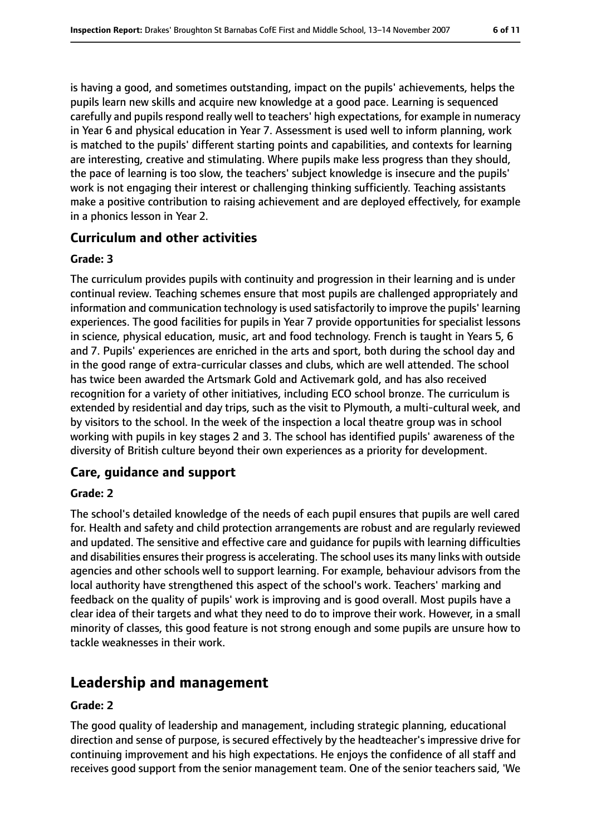is having a good, and sometimes outstanding, impact on the pupils' achievements, helps the pupils learn new skills and acquire new knowledge at a good pace. Learning is sequenced carefully and pupils respond really well to teachers' high expectations, for example in numeracy in Year 6 and physical education in Year 7. Assessment is used well to inform planning, work is matched to the pupils' different starting points and capabilities, and contexts for learning are interesting, creative and stimulating. Where pupils make less progress than they should, the pace of learning is too slow, the teachers' subject knowledge is insecure and the pupils' work is not engaging their interest or challenging thinking sufficiently. Teaching assistants make a positive contribution to raising achievement and are deployed effectively, for example in a phonics lesson in Year 2.

#### **Curriculum and other activities**

#### **Grade: 3**

The curriculum provides pupils with continuity and progression in their learning and is under continual review. Teaching schemes ensure that most pupils are challenged appropriately and information and communication technology is used satisfactorily to improve the pupils' learning experiences. The good facilities for pupils in Year 7 provide opportunities for specialist lessons in science, physical education, music, art and food technology. French is taught in Years 5, 6 and 7. Pupils' experiences are enriched in the arts and sport, both during the school day and in the good range of extra-curricular classes and clubs, which are well attended. The school has twice been awarded the Artsmark Gold and Activemark gold, and has also received recognition for a variety of other initiatives, including ECO school bronze. The curriculum is extended by residential and day trips, such as the visit to Plymouth, a multi-cultural week, and by visitors to the school. In the week of the inspection a local theatre group was in school working with pupils in key stages 2 and 3. The school has identified pupils' awareness of the diversity of British culture beyond their own experiences as a priority for development.

## **Care, guidance and support**

#### **Grade: 2**

The school's detailed knowledge of the needs of each pupil ensures that pupils are well cared for. Health and safety and child protection arrangements are robust and are regularly reviewed and updated. The sensitive and effective care and guidance for pupils with learning difficulties and disabilities ensures their progress is accelerating. The school uses its many links with outside agencies and other schools well to support learning. For example, behaviour advisors from the local authority have strengthened this aspect of the school's work. Teachers' marking and feedback on the quality of pupils' work is improving and is good overall. Most pupils have a clear idea of their targets and what they need to do to improve their work. However, in a small minority of classes, this good feature is not strong enough and some pupils are unsure how to tackle weaknesses in their work.

## **Leadership and management**

#### **Grade: 2**

The good quality of leadership and management, including strategic planning, educational direction and sense of purpose, is secured effectively by the headteacher's impressive drive for continuing improvement and his high expectations. He enjoys the confidence of all staff and receives good support from the senior management team. One of the senior teachers said, 'We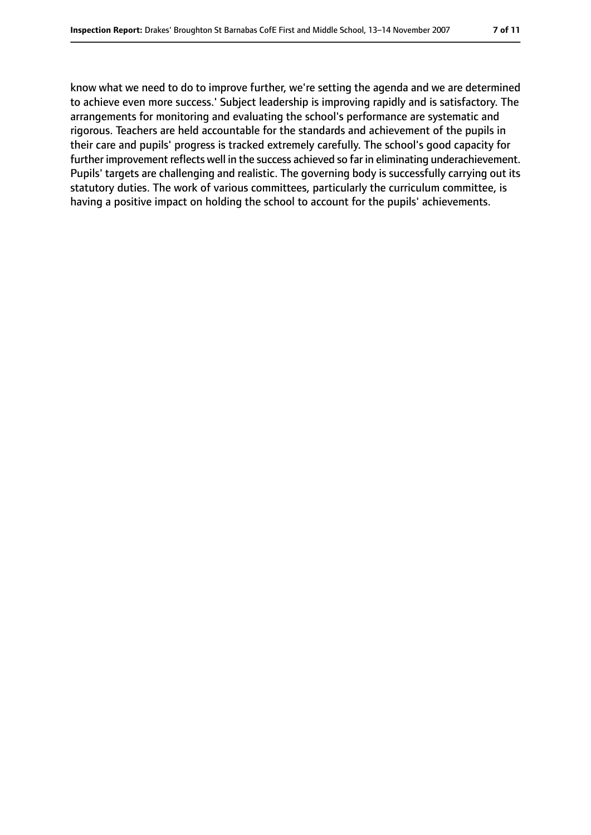know what we need to do to improve further, we're setting the agenda and we are determined to achieve even more success.' Subject leadership is improving rapidly and is satisfactory. The arrangements for monitoring and evaluating the school's performance are systematic and rigorous. Teachers are held accountable for the standards and achievement of the pupils in their care and pupils' progress is tracked extremely carefully. The school's good capacity for further improvement reflects well in the success achieved so far in eliminating underachievement. Pupils' targets are challenging and realistic. The governing body is successfully carrying out its statutory duties. The work of various committees, particularly the curriculum committee, is having a positive impact on holding the school to account for the pupils' achievements.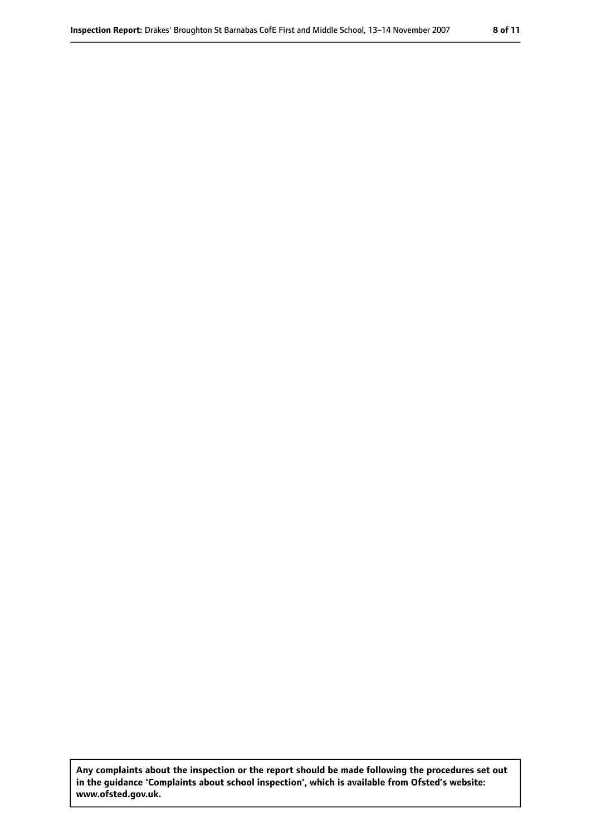**Any complaints about the inspection or the report should be made following the procedures set out in the guidance 'Complaints about school inspection', which is available from Ofsted's website: www.ofsted.gov.uk.**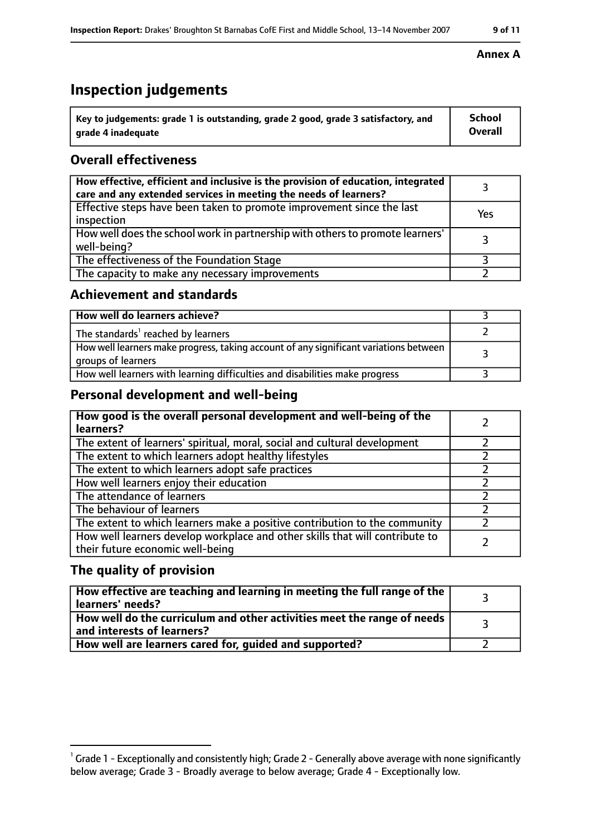# **Inspection judgements**

| $^\dagger$ Key to judgements: grade 1 is outstanding, grade 2 good, grade 3 satisfactory, and | School         |
|-----------------------------------------------------------------------------------------------|----------------|
| arade 4 inadeguate                                                                            | <b>Overall</b> |

## **Overall effectiveness**

| How effective, efficient and inclusive is the provision of education, integrated<br>care and any extended services in meeting the needs of learners? |     |
|------------------------------------------------------------------------------------------------------------------------------------------------------|-----|
| Effective steps have been taken to promote improvement since the last<br>inspection                                                                  | Yes |
| How well does the school work in partnership with others to promote learners'<br>well-being?                                                         |     |
| The effectiveness of the Foundation Stage                                                                                                            |     |
| The capacity to make any necessary improvements                                                                                                      |     |

## **Achievement and standards**

| How well do learners achieve?                                                                               |  |
|-------------------------------------------------------------------------------------------------------------|--|
| The standards <sup>1</sup> reached by learners                                                              |  |
| How well learners make progress, taking account of any significant variations between<br>groups of learners |  |
| How well learners with learning difficulties and disabilities make progress                                 |  |

## **Personal development and well-being**

| How good is the overall personal development and well-being of the<br>learners?                                  |  |
|------------------------------------------------------------------------------------------------------------------|--|
| The extent of learners' spiritual, moral, social and cultural development                                        |  |
| The extent to which learners adopt healthy lifestyles                                                            |  |
| The extent to which learners adopt safe practices                                                                |  |
| How well learners enjoy their education                                                                          |  |
| The attendance of learners                                                                                       |  |
| The behaviour of learners                                                                                        |  |
| The extent to which learners make a positive contribution to the community                                       |  |
| How well learners develop workplace and other skills that will contribute to<br>their future economic well-being |  |

## **The quality of provision**

| How effective are teaching and learning in meeting the full range of the<br>learners' needs?          |  |
|-------------------------------------------------------------------------------------------------------|--|
| How well do the curriculum and other activities meet the range of needs<br>and interests of learners? |  |
| How well are learners cared for, guided and supported?                                                |  |

#### **Annex A**

 $^1$  Grade 1 - Exceptionally and consistently high; Grade 2 - Generally above average with none significantly below average; Grade 3 - Broadly average to below average; Grade 4 - Exceptionally low.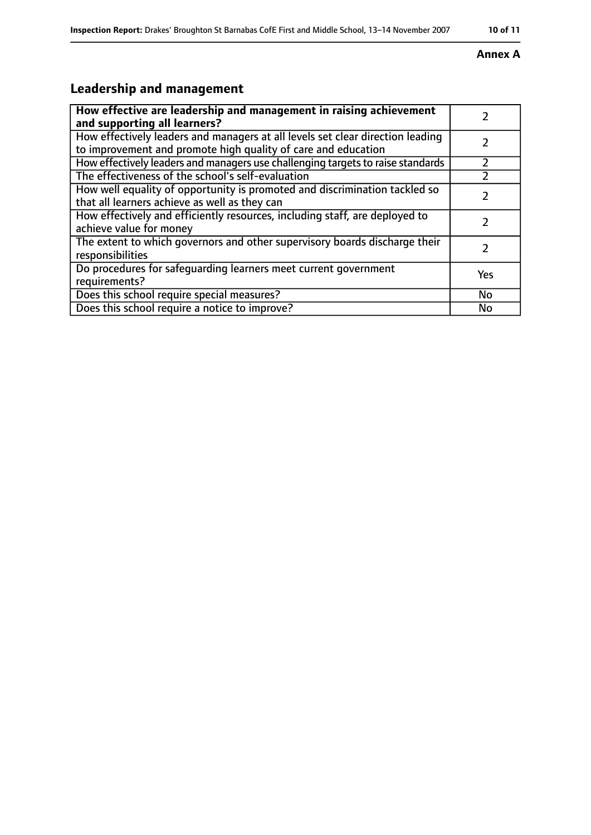#### **Annex A**

# **Leadership and management**

| How effective are leadership and management in raising achievement<br>and supporting all learners?                                              |     |
|-------------------------------------------------------------------------------------------------------------------------------------------------|-----|
| How effectively leaders and managers at all levels set clear direction leading<br>to improvement and promote high quality of care and education |     |
| How effectively leaders and managers use challenging targets to raise standards                                                                 |     |
| The effectiveness of the school's self-evaluation                                                                                               |     |
| How well equality of opportunity is promoted and discrimination tackled so<br>that all learners achieve as well as they can                     |     |
| How effectively and efficiently resources, including staff, are deployed to<br>achieve value for money                                          | 7   |
| The extent to which governors and other supervisory boards discharge their<br>responsibilities                                                  |     |
| Do procedures for safequarding learners meet current government<br>requirements?                                                                | Yes |
| Does this school require special measures?                                                                                                      | No  |
| Does this school require a notice to improve?                                                                                                   | No  |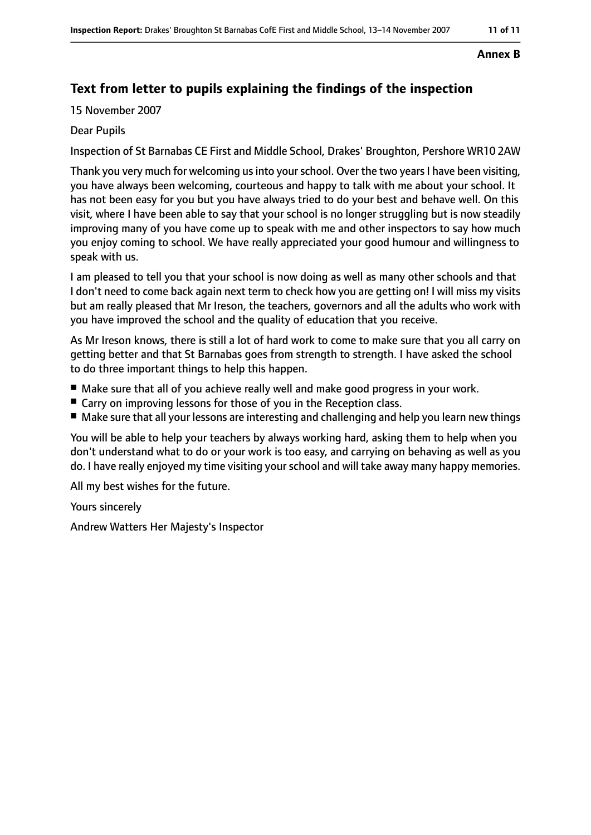#### **Annex B**

## **Text from letter to pupils explaining the findings of the inspection**

15 November 2007

#### Dear Pupils

Inspection of St Barnabas CE First and Middle School, Drakes' Broughton, Pershore WR10 2AW

Thank you very much for welcoming us into your school. Over the two years I have been visiting, you have always been welcoming, courteous and happy to talk with me about your school. It has not been easy for you but you have always tried to do your best and behave well. On this visit, where I have been able to say that your school is no longer struggling but is now steadily improving many of you have come up to speak with me and other inspectors to say how much you enjoy coming to school. We have really appreciated your good humour and willingness to speak with us.

I am pleased to tell you that your school is now doing as well as many other schools and that I don't need to come back again next term to check how you are getting on! I will miss my visits but am really pleased that Mr Ireson, the teachers, governors and all the adults who work with you have improved the school and the quality of education that you receive.

As Mr Ireson knows, there is still a lot of hard work to come to make sure that you all carry on getting better and that St Barnabas goes from strength to strength. I have asked the school to do three important things to help this happen.

- Make sure that all of you achieve really well and make good progress in your work.
- Carry on improving lessons for those of you in the Reception class.
- Make sure that all your lessons are interesting and challenging and help you learn new things

You will be able to help your teachers by always working hard, asking them to help when you don't understand what to do or your work is too easy, and carrying on behaving as well as you do. I have really enjoyed my time visiting your school and will take away many happy memories.

All my best wishes for the future.

Yours sincerely

Andrew Watters Her Majesty's Inspector